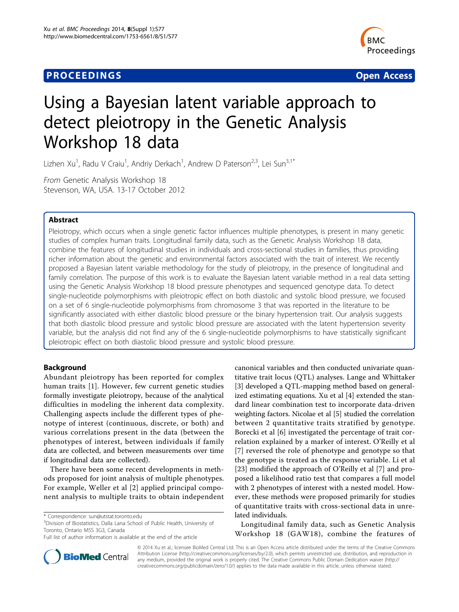## **PROCEEDINGS SECURE 2018 12:00 SECURE 2018 12:00 SECURE 2019 12:00 SECURE 2019 12:00 SECURE 2019 12:00 SECURE 30 SECURE 2019 12:00 SECURE 2019 12:00 SECURE 2019 12:00 SECURE 2019 12:00 SECURE 2019 12:00 SECURE 2019 12:00**



# Using a Bayesian latent variable approach to detect pleiotropy in the Genetic Analysis Workshop 18 data

Lizhen Xu<sup>1</sup>, Radu V Craiu<sup>1</sup>, Andriy Derkach<sup>1</sup>, Andrew D Paterson<sup>2,3</sup>, Lei Sun<sup>3,1\*</sup>

From Genetic Analysis Workshop 18 Stevenson, WA, USA. 13-17 October 2012

## Abstract

Pleiotropy, which occurs when a single genetic factor influences multiple phenotypes, is present in many genetic studies of complex human traits. Longitudinal family data, such as the Genetic Analysis Workshop 18 data, combine the features of longitudinal studies in individuals and cross-sectional studies in families, thus providing richer information about the genetic and environmental factors associated with the trait of interest. We recently proposed a Bayesian latent variable methodology for the study of pleiotropy, in the presence of longitudinal and family correlation. The purpose of this work is to evaluate the Bayesian latent variable method in a real data setting using the Genetic Analysis Workshop 18 blood pressure phenotypes and sequenced genotype data. To detect single-nucleotide polymorphisms with pleiotropic effect on both diastolic and systolic blood pressure, we focused on a set of 6 single-nucleotide polymorphisms from chromosome 3 that was reported in the literature to be significantly associated with either diastolic blood pressure or the binary hypertension trait. Our analysis suggests that both diastolic blood pressure and systolic blood pressure are associated with the latent hypertension severity variable, but the analysis did not find any of the 6 single-nucleotide polymorphisms to have statistically significant pleiotropic effect on both diastolic blood pressure and systolic blood pressure.

## Background

Abundant pleiotropy has been reported for complex human traits [[1\]](#page-4-0). However, few current genetic studies formally investigate pleiotropy, because of the analytical difficulties in modeling the inherent data complexity. Challenging aspects include the different types of phenotype of interest (continuous, discrete, or both) and various correlations present in the data (between the phenotypes of interest, between individuals if family data are collected, and between measurements over time if longitudinal data are collected).

There have been some recent developments in methods proposed for joint analysis of multiple phenotypes. For example, Weller et al [\[2\]](#page-4-0) applied principal component analysis to multiple traits to obtain independent

<sup>3</sup>Division of Biostatistics, Dalla Lana School of Public Health, University of Toronto, Ontario M5S 3G3, Canada

canonical variables and then conducted univariate quantitative trait locus (QTL) analyses. Lange and Whittaker [[3\]](#page-4-0) developed a QTL-mapping method based on generalized estimating equations. Xu et al [[4\]](#page-4-0) extended the standard linear combination test to incorporate data-driven weighting factors. Nicolae et al [[5\]](#page-4-0) studied the correlation between 2 quantitative traits stratified by genotype. Borecki et al [[6](#page-4-0)] investigated the percentage of trait correlation explained by a marker of interest. O'Reilly et al [[7](#page-4-0)] reversed the role of phenotype and genotype so that the genotype is treated as the response variable. Li et al [[23\]](#page-4-0) modified the approach of O'Reilly et al [[7\]](#page-4-0) and proposed a likelihood ratio test that compares a full model with 2 phenotypes of interest with a nested model. However, these methods were proposed primarily for studies of quantitative traits with cross-sectional data in unrelated individuals.

Longitudinal family data, such as Genetic Analysis Workshop 18 (GAW18), combine the features of



© 2014 Xu et al.; licensee BioMed Central Ltd. This is an Open Access article distributed under the terms of the Creative Commons Attribution License [\(http://creativecommons.org/licenses/by/2.0](http://creativecommons.org/licenses/by/2.0)), which permits unrestricted use, distribution, and reproduction in any medium, provided the original work is properly cited. The Creative Commons Public Domain Dedication waiver [\(http://](http://creativecommons.org/publicdomain/zero/1.0/) [creativecommons.org/publicdomain/zero/1.0/](http://creativecommons.org/publicdomain/zero/1.0/)) applies to the data made available in this article, unless otherwise stated.

<sup>\*</sup> Correspondence: [sun@utstat.toronto.edu](mailto:sun@utstat.toronto.edu)

Full list of author information is available at the end of the article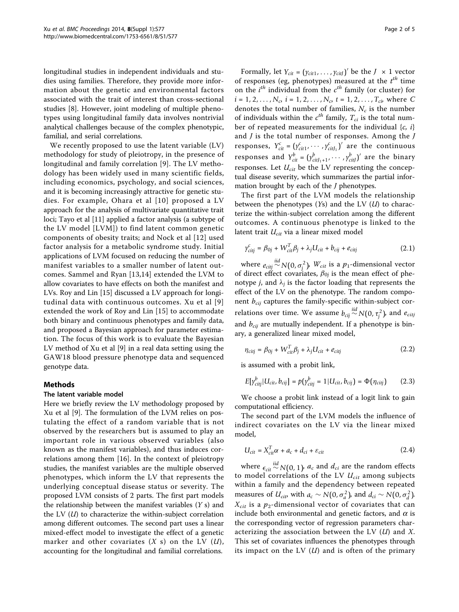longitudinal studies in independent individuals and studies using families. Therefore, they provide more information about the genetic and environmental factors associated with the trait of interest than cross-sectional studies [[8\]](#page-4-0). However, joint modeling of multiple phenotypes using longitudinal family data involves nontrivial analytical challenges because of the complex phenotypic, familial, and serial correlations.

We recently proposed to use the latent variable (LV) methodology for study of pleiotropy, in the presence of longitudinal and family correlation [[9\]](#page-4-0). The LV methodology has been widely used in many scientific fields, including economics, psychology, and social sciences, and it is becoming increasingly attractive for genetic studies. For example, Ohara et al [[10\]](#page-4-0) proposed a LV approach for the analysis of multivariate quantitative trait loci; Tayo et al [[11](#page-4-0)] applied a factor analysis (a subtype of the LV model [LVM]) to find latent common genetic components of obesity traits; and Nock et al [\[12\]](#page-4-0) used factor analysis for a metabolic syndrome study. Initial applications of LVM focused on reducing the number of manifest variables to a smaller number of latent outcomes. Sammel and Ryan [[13,14](#page-4-0)] extended the LVM to allow covariates to have effects on both the manifest and LVs. Roy and Lin [[15\]](#page-4-0) discussed a LV approach for longitudinal data with continuous outcomes. Xu et al [[9](#page-4-0)] extended the work of Roy and Lin [[15](#page-4-0)] to accommodate both binary and continuous phenotypes and family data, and proposed a Bayesian approach for parameter estimation. The focus of this work is to evaluate the Bayesian LV method of Xu et al [\[9](#page-4-0)] in a real data setting using the GAW18 blood pressure phenotype data and sequenced genotype data.

## Methods

## The latent variable model

Here we briefly review the LV methodology proposed by Xu et al [[9](#page-4-0)]. The formulation of the LVM relies on postulating the effect of a random variable that is not observed by the researchers but is assumed to play an important role in various observed variables (also known as the manifest variables), and thus induces correlations among them [\[16](#page-4-0)]. In the context of pleiotropy studies, the manifest variables are the multiple observed phenotypes, which inform the LV that represents the underlying conceptual disease status or severity. The proposed LVM consists of 2 parts. The first part models the relationship between the manifest variables  $(Y \, s)$  and the LV  $(U)$  to characterize the within-subject correlation among different outcomes. The second part uses a linear mixed-effect model to investigate the effect of a genetic marker and other covariates  $(X \text{ s})$  on the LV  $(U)$ , accounting for the longitudinal and familial correlations.

Formally, let  $Y_{cit} = (y_{cit1}, \dots, y_{cit})'$  be the  $J \times 1$  vector of responses (eg, phenotypes) measured at the  $t^{th}$  time on the  $i^{th}$  individual from the  $c^{th}$  family (or cluster) for  $i = 1, 2, \ldots, N_c$ ,  $i = 1, 2, \ldots, N_c$ ,  $t = 1, 2, \ldots, T_{ci}$ , where C denotes the total number of families,  $N_c$  is the number of individuals within the  $c^{th}$  family,  $T_{ci}$  is the total number of repeated measurements for the individual  ${c, i}$ and  $J$  is the total number of responses. Among the  $J$ responses,  $Y_{cit}^c = (y_{cit1}^c, \dots, y_{citJ_1}^c)'$  are the continuous responses and  $Y_{cit}^b = (y_{citJ_1+1}^b, \dots, y_{citJ}^b)'$  are the binary responses. Let  $U_{cit}$  be the LV representing the conceptual disease severity, which summarizes the partial information brought by each of the J phenotypes.

The first part of the LVM models the relationship between the phenotypes  $(Ys)$  and the LV  $(U)$  to characterize the within-subject correlation among the different outcomes. A continuous phenotype is linked to the latent trait  $U_{\text{cit}}$  via a linear mixed model

$$
\gamma_{cij}^c = \beta_{0j} + W_{cit}^T \beta_j + \lambda_j U_{cit} + b_{cij} + e_{citj}
$$
\n(2.1)

where  $e_{\text{city}} \stackrel{\text{iid}}{\sim} N(0, \sigma_j^2)$ ,  $W_{\text{cit}}$  is a p<sub>1</sub>-dimensional vector of direct effect covariates,  $\beta_{0j}$  is the mean effect of phenotype *j*, and  $\lambda_j$  is the factor loading that represents the effect of the LV on the phenotype. The random component  $b_{\text{cij}}$  captures the family-specific within-subject correlations over time. We assume  $b_{cij} \stackrel{iid}{\sim} N(0, \tau_j^2)$ , and  $e_{cit}$ and  $b_{\text{cij}}$  are mutually independent. If a phenotype is binary, a generalized linear mixed model,

$$
\eta_{citj} = \beta_{0j} + W_{cit}^T \beta_j + \lambda_j U_{cit} + e_{citj}
$$
\n(2.2)

is assumed with a probit link,

$$
E[\gamma_{cij}^b | U_{cit}, b_{cij}] = p(\gamma_{cij}^b = 1 | U_{cit}, b_{cij}) = \Phi(\eta_{cij})
$$
 (2.3)

We choose a probit link instead of a logit link to gain computational efficiency.

The second part of the LVM models the influence of indirect covariates on the LV via the linear mixed model,

$$
U_{cit} = X_{cit}^T \alpha + a_c + d_{ci} + \varepsilon_{cit}
$$
 (2.4)

where  $\epsilon_{\textit{cit}}$  $\sim N(0, 1)$ ,  $a_c$  and  $d_{ci}$  are the random effects to model correlations of the LV  $U_{cit}$  among subjects within a family and the dependency between repeated measures of  $U_{cit}$ , with  $a_c \sim N(0, \sigma_a^2)$ , and  $d_{ci} \sim N(0, \sigma_a^2)$ .  $X_{\text{cit}}$  is a  $p_2$ -dimensional vector of covariates that can include both environmental and genetic factors, and  $\alpha$  is the corresponding vector of regression parameters characterizing the association between the LV  $(U)$  and X. This set of covariates influences the phenotypes through its impact on the LV  $(U)$  and is often of the primary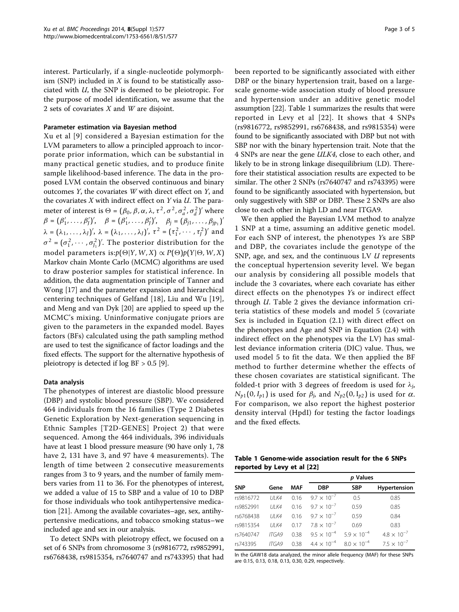interest. Particularly, if a single-nucleotide polymorphism (SNP) included in  $X$  is found to be statistically associated with  $U$ , the SNP is deemed to be pleiotropic. For the purpose of model identification, we assume that the 2 sets of covariates  $X$  and  $W$  are disjoint.

## Parameter estimation via Bayesian method

Xu et al [[9\]](#page-4-0) considered a Bayesian estimation for the LVM parameters to allow a principled approach to incorporate prior information, which can be substantial in many practical genetic studies, and to produce finite sample likelihood-based inference. The data in the proposed LVM contain the observed continuous and binary outcomes  $Y$ , the covariates  $W$  with direct effect on  $Y$ , and the covariates  $X$  with indirect effect on  $Y$  via  $U$ . The parameter of interest is  $\Theta = (\beta_0, \beta, \alpha, \lambda, \tau^2, \sigma^2, \sigma_a^2, \sigma_d^2)'$  where  $\beta = (\beta'_{1}, \ldots, \beta'_{J})', \quad \beta = (\beta'_{1}, \ldots, \beta'_{J})', \quad \beta_{j} = (\beta_{j1}, \ldots, \beta_{jp_{1}})'$  $\lambda = (\lambda_1, \ldots, \lambda_J)'$ ,  $\lambda = (\lambda_1, \ldots, \lambda_J)'$ ,  $\tau^2 = (\tau_1^2, \cdots, \tau_J^2)'$  and  $\sigma^2 = (\sigma_1^2, \cdots, \sigma_{J_1}^2)'$ . The posterior distribution for the model parameters is: $p(\Theta|Y, W, X) \propto P(\Theta)p(Y|\Theta, W, X)$ Markov chain Monte Carlo (MCMC) algorithms are used to draw posterior samples for statistical inference. In addition, the data augmentation principle of Tanner and Wong [[17\]](#page-4-0) and the parameter expansion and hierarchical centering techniques of Gelfand [[18](#page-4-0)], Liu and Wu [[19](#page-4-0)], and Meng and van Dyk [[20\]](#page-4-0) are applied to speed up the MCMC's mixing. Uninformative conjugate priors are given to the parameters in the expanded model. Bayes factors (BFs) calculated using the path sampling method are used to test the significance of factor loadings and the fixed effects. The support for the alternative hypothesis of pleiotropy is detected if log BF > 0.5 [\[9](#page-4-0)].

## Data analysis

The phenotypes of interest are diastolic blood pressure (DBP) and systolic blood pressure (SBP). We considered 464 individuals from the 16 families (Type 2 Diabetes Genetic Exploration by Next-generation sequencing in Ethnic Samples [T2D-GENES] Project 2) that were sequenced. Among the 464 individuals, 396 individuals have at least 1 blood pressure measure (90 have only 1, 78 have 2, 131 have 3, and 97 have 4 measurements). The length of time between 2 consecutive measurements ranges from 3 to 9 years, and the number of family members varies from 11 to 36. For the phenotypes of interest, we added a value of 15 to SBP and a value of 10 to DBP for those individuals who took antihypertensive medication [[21](#page-4-0)]. Among the available covariates–age, sex, antihypertensive medications, and tobacco smoking status–we included age and sex in our analysis.

To detect SNPs with pleiotropy effect, we focused on a set of 6 SNPs from chromosome 3 (rs9816772, rs9852991, rs6768438, rs9815354, rs7640747 and rs743395) that had been reported to be significantly associated with either DBP or the binary hypertension trait, based on a largescale genome-wide association study of blood pressure and hypertension under an additive genetic model assumption [\[22](#page-4-0)]. Table 1 summarizes the results that were reported in Levy et al [[22](#page-4-0)]. It shows that 4 SNPs (rs9816772, rs9852991, rs6768438, and rs9815354) were found to be significantly associated with DBP but not with SBP nor with the binary hypertension trait. Note that the 4 SNPs are near the gene ULK4, close to each other, and likely to be in strong linkage disequilibrium (LD). Therefore their statistical association results are expected to be similar. The other 2 SNPs (rs7640747 and rs743395) were found to be significantly associated with hypertension, but only suggestively with SBP or DBP. These 2 SNPs are also close to each other in high LD and near ITGA9.

We then applied the Bayesian LVM method to analyze 1 SNP at a time, assuming an additive genetic model. For each SNP of interest, the phenotypes Ys are SBP and DBP, the covariates include the genotype of the SNP, age, and sex, and the continuous LV  $U$  represents the conceptual hypertension severity level. We began our analysis by considering all possible models that include the 3 covariates, where each covariate has either direct effects on the phenotypes Ys or indirect effect through U. Table [2](#page-3-0) gives the deviance information criteria statistics of these models and model 5 (covariate Sex is included in Equation (2.1) with direct effect on the phenotypes and Age and SNP in Equation (2.4) with indirect effect on the phenotypes via the LV) has smallest deviance information criteria (DIC) value. Thus, we used model 5 to fit the data. We then applied the BF method to further determine whether the effects of these chosen covariates are statistical significant. The folded-t prior with 3 degrees of freedom is used for  $\lambda_i$ ,  $N_{p1}(0, I_{p1})$  is used for  $\beta_j$ , and  $N_{p2}(0, I_{p2})$  is used for  $\alpha$ . For comparison, we also report the highest posterior density interval (HpdI) for testing the factor loadings and the fixed effects.

Table 1 Genome-wide association result for the 6 SNPs reported by Levy et al [\[22](#page-4-0)]

|            |              |      | p Values             |                      |                      |
|------------|--------------|------|----------------------|----------------------|----------------------|
| <b>SNP</b> | Gene         | MAF  | <b>DBP</b>           | <b>SBP</b>           | Hypertension         |
| rs9816772  | <b>UI K4</b> | 0.16 | $9.7 \times 10^{-7}$ | 0.5                  | 0.85                 |
| rs9852991  | UJK4         | 0.16 | $9.7 \times 10^{-7}$ | 0.59                 | 0.85                 |
| rs6768438  | <b>UI K4</b> | 016  | $9.7 \times 10^{-7}$ | 0.59                 | 0.84                 |
| rs9815354  | UJK4         | 017  | $78 \times 10^{-7}$  | 0.69                 | 0.83                 |
| rs7640747  | <b>ITGA9</b> | 0.38 | $9.5 \times 10^{-4}$ | $5.9 \times 10^{-4}$ | $4.8 \times 10^{-7}$ |
| rs743395   | <b>ITGA9</b> | 0.38 | $4.4 \times 10^{-4}$ | $8.0 \times 10^{-4}$ | $7.5 \times 10^{-7}$ |

In the GAW18 data analyzed, the minor allele frequency (MAF) for these SNPs are 0.15, 0.13, 0.18, 0.13, 0.30, 0.29, respectively.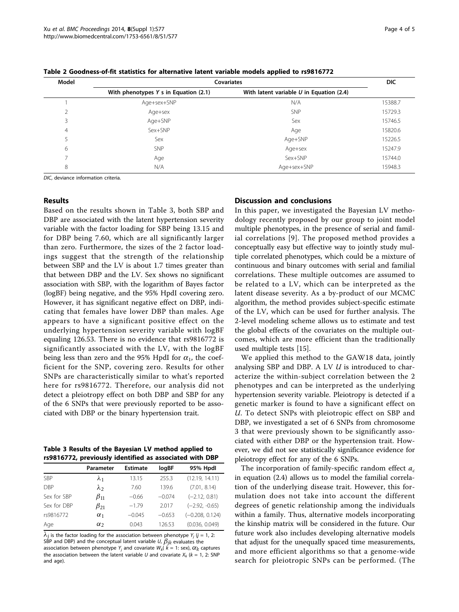| Model          | <b>Covariates</b>                     | <b>DIC</b>                                 |         |
|----------------|---------------------------------------|--------------------------------------------|---------|
|                | With phenotypes Y s in Equation (2.1) | With latent variable $U$ in Equation (2.4) |         |
|                | Age+sex+SNP                           | N/A                                        | 15388.7 |
| $\overline{2}$ | Age+sex                               | SNP                                        | 15729.3 |
| 3              | Age+SNP                               | Sex                                        | 15746.5 |
| $\overline{4}$ | Sex+SNP                               | Age                                        | 15820.6 |
| 5              | Sex                                   | Age+SNP                                    | 15226.5 |
| 6              | <b>SNP</b>                            | Age+sex                                    | 15247.9 |
|                | Age                                   | Sex+SNP                                    | 15744.0 |
| 8              | N/A                                   | Age+sex+SNP                                | 15948.3 |

<span id="page-3-0"></span>Table 2 Goodness-of-fit statistics for alternative latent variable models applied to rs9816772

DIC, deviance information criteria.

#### Results

Based on the results shown in Table 3, both SBP and DBP are associated with the latent hypertension severity variable with the factor loading for SBP being 13.15 and for DBP being 7.60, which are all significantly larger than zero. Furthermore, the sizes of the 2 factor loadings suggest that the strength of the relationship between SBP and the LV is about 1.7 times greater than that between DBP and the LV. Sex shows no significant association with SBP, with the logarithm of Bayes factor (logBF) being negative, and the 95% HpdI covering zero. However, it has significant negative effect on DBP, indicating that females have lower DBP than males. Age appears to have a significant positive effect on the underlying hypertension severity variable with logBF equaling 126.53. There is no evidence that rs9816772 is significantly associated with the LV, with the logBF being less than zero and the 95% HpdI for  $\alpha_1$ , the coefficient for the SNP, covering zero. Results for other SNPs are characteristically similar to what's reported here for rs9816772. Therefore, our analysis did not detect a pleiotropy effect on both DBP and SBP for any of the 6 SNPs that were previously reported to be associated with DBP or the binary hypertension trait.

Table 3 Results of the Bayesian LV method applied to rs9816772, previously identified as associated with DBP

|             | Parameter    | <b>Estimate</b> | logBF    | 95% Hpdl          |
|-------------|--------------|-----------------|----------|-------------------|
| <b>SBP</b>  | $\lambda_1$  | 13.15           | 255.3    | (12.19, 14.11)    |
| <b>DBP</b>  | $\lambda_2$  | 7.60            | 139.6    | (7.01, 8.14)      |
| Sex for SBP | $\beta_{11}$ | $-0.66$         | $-0.074$ | $(-2.12, 0.81)$   |
| Sex for DBP | $\beta_{21}$ | $-1.79$         | 2.017    | $(-2.92, -0.65)$  |
| rs9816772   | $\alpha_1$   | $-0.045$        | $-0.653$ | $(-0.208, 0.124)$ |
| Age         | $\alpha$     | 0.043           | 126.53   | (0.036, 0.049)    |

 $\lambda_j$  is the factor loading for the association between phenotype  $Y_j$  ( $j = 1, 2$ : SBP and DBP) and the conceptual latent variable  $U$ ,  $\beta_{jk}$  evaluates the association between phenotype Y<sub>i</sub> and covariate  $W_k$ ( $k = 1$ : sex),  $\alpha_k$  captures the association between the latent variable U and covariate  $X_k$  ( $k = 1$ , 2: SNP and age).

## Discussion and conclusions

In this paper, we investigated the Bayesian LV methodology recently proposed by our group to joint model multiple phenotypes, in the presence of serial and familial correlations [[9\]](#page-4-0). The proposed method provides a conceptually easy but effective way to jointly study multiple correlated phenotypes, which could be a mixture of continuous and binary outcomes with serial and familial correlations. These multiple outcomes are assumed to be related to a LV, which can be interpreted as the latent disease severity. As a by-product of our MCMC algorithm, the method provides subject-specific estimate of the LV, which can be used for further analysis. The 2-level modeling scheme allows us to estimate and test the global effects of the covariates on the multiple outcomes, which are more efficient than the traditionally used multiple tests [\[15\]](#page-4-0).

We applied this method to the GAW18 data, jointly analysing SBP and DBP. A LV *U* is introduced to characterize the within-subject correlation between the 2 phenotypes and can be interpreted as the underlying hypertension severity variable. Pleiotropy is detected if a genetic marker is found to have a significant effect on U. To detect SNPs with pleiotropic effect on SBP and DBP, we investigated a set of 6 SNPs from chromosome 3 that were previously shown to be significantly associated with either DBP or the hypertension trait. However, we did not see statistically significance evidence for pleiotropy effect for any of the 6 SNPs.

The incorporation of family-specific random effect  $a_c$ in equation (2.4) allows us to model the familial correlation of the underlying disease trait. However, this formulation does not take into account the different degrees of genetic relationship among the individuals within a family. Thus, alternative models incorporating the kinship matrix will be considered in the future. Our future work also includes developing alternative models that adjust for the unequally spaced time measurements, and more efficient algorithms so that a genome-wide search for pleiotropic SNPs can be performed. (The